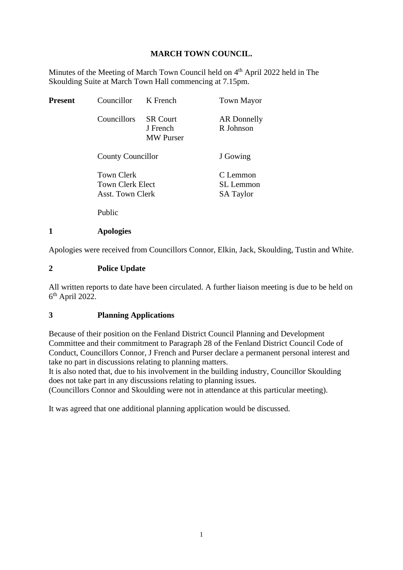## **MARCH TOWN COUNCIL.**

Minutes of the Meeting of March Town Council held on 4<sup>th</sup> April 2022 held in The Skoulding Suite at March Town Hall commencing at 7.15pm.

| Present | Councillor                                                | K French                                        | <b>Town Mayor</b>                                |
|---------|-----------------------------------------------------------|-------------------------------------------------|--------------------------------------------------|
|         | Councillors                                               | <b>SR Court</b><br>J French<br><b>MW</b> Purser | AR Donnelly<br>R Johnson                         |
|         | <b>County Councillor</b>                                  |                                                 | J Gowing                                         |
|         | <b>Town Clerk</b><br>Town Clerk Elect<br>Asst. Town Clerk |                                                 | C Lemmon<br><b>SL</b> Lemmon<br><b>SA Taylor</b> |
|         | Public                                                    |                                                 |                                                  |

#### **1 Apologies**

Apologies were received from Councillors Connor, Elkin, Jack, Skoulding, Tustin and White.

#### **2 Police Update**

All written reports to date have been circulated. A further liaison meeting is due to be held on 6<sup>th</sup> April 2022.

## **3 Planning Applications**

Because of their position on the Fenland District Council Planning and Development Committee and their commitment to Paragraph 28 of the Fenland District Council Code of Conduct, Councillors Connor, J French and Purser declare a permanent personal interest and take no part in discussions relating to planning matters.

It is also noted that, due to his involvement in the building industry, Councillor Skoulding does not take part in any discussions relating to planning issues.

(Councillors Connor and Skoulding were not in attendance at this particular meeting).

It was agreed that one additional planning application would be discussed.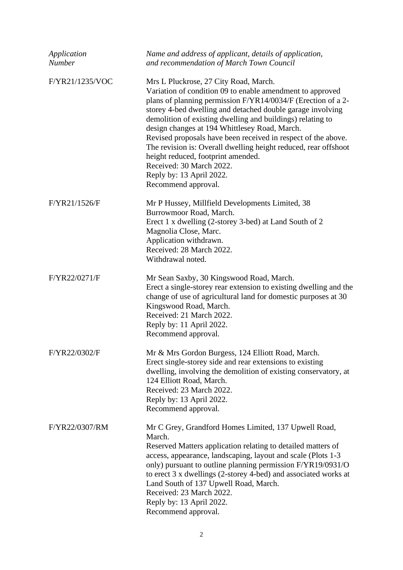| Application<br><b>Number</b> | Name and address of applicant, details of application,<br>and recommendation of March Town Council                                                                                                                                                                                                                                                                                                                                                                                                                                                                                                       |
|------------------------------|----------------------------------------------------------------------------------------------------------------------------------------------------------------------------------------------------------------------------------------------------------------------------------------------------------------------------------------------------------------------------------------------------------------------------------------------------------------------------------------------------------------------------------------------------------------------------------------------------------|
| F/YR21/1235/VOC              | Mrs L Pluckrose, 27 City Road, March.<br>Variation of condition 09 to enable amendment to approved<br>plans of planning permission F/YR14/0034/F (Erection of a 2-<br>storey 4-bed dwelling and detached double garage involving<br>demolition of existing dwelling and buildings) relating to<br>design changes at 194 Whittlesey Road, March.<br>Revised proposals have been received in respect of the above.<br>The revision is: Overall dwelling height reduced, rear offshoot<br>height reduced, footprint amended.<br>Received: 30 March 2022.<br>Reply by: 13 April 2022.<br>Recommend approval. |
| F/YR21/1526/F                | Mr P Hussey, Millfield Developments Limited, 38<br>Burrowmoor Road, March.<br>Erect 1 x dwelling (2-storey 3-bed) at Land South of 2<br>Magnolia Close, Marc.<br>Application withdrawn.<br>Received: 28 March 2022.<br>Withdrawal noted.                                                                                                                                                                                                                                                                                                                                                                 |
| F/YR22/0271/F                | Mr Sean Saxby, 30 Kingswood Road, March.<br>Erect a single-storey rear extension to existing dwelling and the<br>change of use of agricultural land for domestic purposes at 30<br>Kingswood Road, March.<br>Received: 21 March 2022.<br>Reply by: 11 April 2022.<br>Recommend approval.                                                                                                                                                                                                                                                                                                                 |
| F/YR22/0302/F                | Mr & Mrs Gordon Burgess, 124 Elliott Road, March.<br>Erect single-storey side and rear extensions to existing<br>dwelling, involving the demolition of existing conservatory, at<br>124 Elliott Road, March.<br>Received: 23 March 2022.<br>Reply by: 13 April 2022.<br>Recommend approval.                                                                                                                                                                                                                                                                                                              |
| F/YR22/0307/RM               | Mr C Grey, Grandford Homes Limited, 137 Upwell Road,<br>March.<br>Reserved Matters application relating to detailed matters of<br>access, appearance, landscaping, layout and scale (Plots 1-3)<br>only) pursuant to outline planning permission F/YR19/0931/O<br>to erect 3 x dwellings (2-storey 4-bed) and associated works at<br>Land South of 137 Upwell Road, March.<br>Received: 23 March 2022.<br>Reply by: 13 April 2022.<br>Recommend approval.                                                                                                                                                |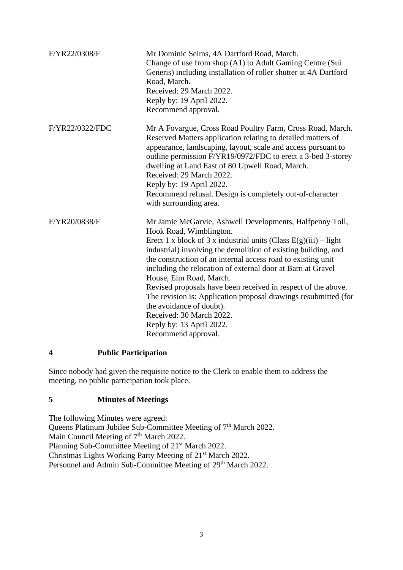| F/YR22/0308/F   | Mr Dominic Seims, 4A Dartford Road, March.<br>Change of use from shop (A1) to Adult Gaming Centre (Sui<br>Generis) including installation of roller shutter at 4A Dartford<br>Road, March.<br>Received: 29 March 2022.<br>Reply by: 19 April 2022.<br>Recommend approval.                                                                                                                                                                                                                                                                                                                                                            |
|-----------------|--------------------------------------------------------------------------------------------------------------------------------------------------------------------------------------------------------------------------------------------------------------------------------------------------------------------------------------------------------------------------------------------------------------------------------------------------------------------------------------------------------------------------------------------------------------------------------------------------------------------------------------|
| F/YR22/0322/FDC | Mr A Fovargue, Cross Road Poultry Farm, Cross Road, March.<br>Reserved Matters application relating to detailed matters of<br>appearance, landscaping, layout, scale and access pursuant to<br>outline permission F/YR19/0972/FDC to erect a 3-bed 3-storey<br>dwelling at Land East of 80 Upwell Road, March.<br>Received: 29 March 2022.<br>Reply by: 19 April 2022.<br>Recommend refusal. Design is completely out-of-character<br>with surrounding area.                                                                                                                                                                         |
| F/YR20/0838/F   | Mr Jamie McGarvie, Ashwell Developments, Halfpenny Toll,<br>Hook Road, Wimblington.<br>Erect 1 x block of 3 x industrial units (Class $E(g)(iii) - light$<br>industrial) involving the demolition of existing building, and<br>the construction of an internal access road to existing unit<br>including the relocation of external door at Barn at Gravel<br>House, Elm Road, March.<br>Revised proposals have been received in respect of the above.<br>The revision is: Application proposal drawings resubmitted (for<br>the avoidance of doubt).<br>Received: 30 March 2022.<br>Reply by: 13 April 2022.<br>Recommend approval. |

# **4 Public Participation**

Since nobody had given the requisite notice to the Clerk to enable them to address the meeting, no public participation took place.

## **5 Minutes of Meetings**

The following Minutes were agreed: Queens Platinum Jubilee Sub-Committee Meeting of 7<sup>th</sup> March 2022. Main Council Meeting of  $7<sup>th</sup>$  March 2022. Planning Sub-Committee Meeting of 21<sup>st</sup> March 2022. Christmas Lights Working Party Meeting of 21st March 2022. Personnel and Admin Sub-Committee Meeting of 29<sup>th</sup> March 2022.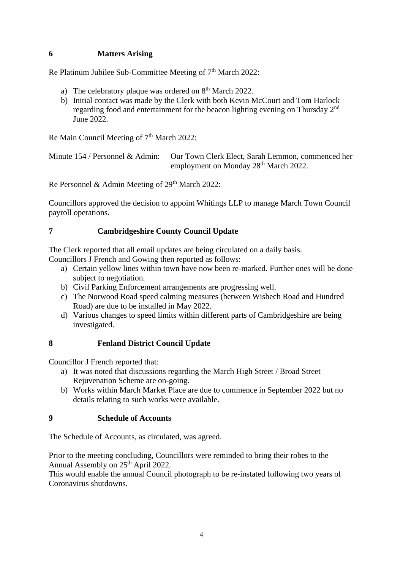# **6 Matters Arising**

Re Platinum Jubilee Sub-Committee Meeting of  $7<sup>th</sup>$  March 2022:

- a) The celebratory plaque was ordered on  $8<sup>th</sup>$  March 2022.
- b) Initial contact was made by the Clerk with both Kevin McCourt and Tom Harlock regarding food and entertainment for the beacon lighting evening on Thursday 2<sup>nd</sup> June 2022.

Re Main Council Meeting of 7<sup>th</sup> March 2022:

Minute 154 / Personnel & Admin: Our Town Clerk Elect, Sarah Lemmon, commenced her employment on Monday 28<sup>th</sup> March 2022.

Re Personnel & Admin Meeting of 29<sup>th</sup> March 2022:

Councillors approved the decision to appoint Whitings LLP to manage March Town Council payroll operations.

## **7 Cambridgeshire County Council Update**

The Clerk reported that all email updates are being circulated on a daily basis. Councillors J French and Gowing then reported as follows:

- a) Certain yellow lines within town have now been re-marked. Further ones will be done subject to negotiation.
- b) Civil Parking Enforcement arrangements are progressing well.
- c) The Norwood Road speed calming measures (between Wisbech Road and Hundred Road) are due to be installed in May 2022.
- d) Various changes to speed limits within different parts of Cambridgeshire are being investigated.

## **8 Fenland District Council Update**

Councillor J French reported that:

- a) It was noted that discussions regarding the March High Street / Broad Street Rejuvenation Scheme are on-going.
- b) Works within March Market Place are due to commence in September 2022 but no details relating to such works were available.

## **9 Schedule of Accounts**

The Schedule of Accounts, as circulated, was agreed.

Prior to the meeting concluding, Councillors were reminded to bring their robes to the Annual Assembly on 25<sup>th</sup> April 2022.

This would enable the annual Council photograph to be re-instated following two years of Coronavirus shutdowns.